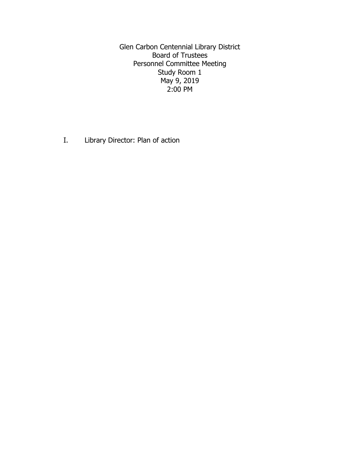Glen Carbon Centennial Library District Board of Trustees Personnel Committee Meeting Study Room 1 May 9, 2019 2:00 PM

I. Library Director: Plan of action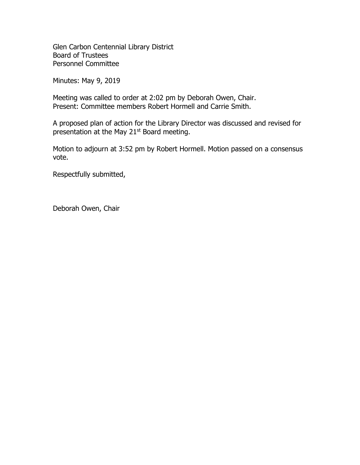Glen Carbon Centennial Library District Board of Trustees Personnel Committee

Minutes: May 9, 2019

Meeting was called to order at 2:02 pm by Deborah Owen, Chair. Present: Committee members Robert Hormell and Carrie Smith.

A proposed plan of action for the Library Director was discussed and revised for presentation at the May 21<sup>st</sup> Board meeting.

Motion to adjourn at 3:52 pm by Robert Hormell. Motion passed on a consensus vote.

Respectfully submitted,

Deborah Owen, Chair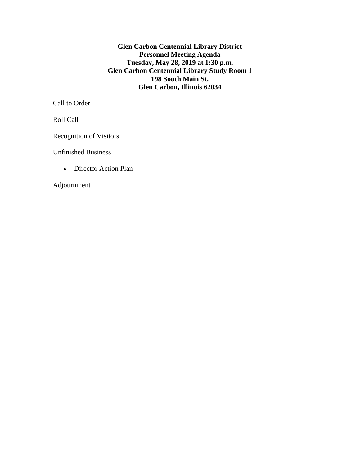**Glen Carbon Centennial Library District Personnel Meeting Agenda Tuesday, May 28, 2019 at 1:30 p.m. Glen Carbon Centennial Library Study Room 1 198 South Main St. Glen Carbon, Illinois 62034**

Call to Order

Roll Call

Recognition of Visitors

Unfinished Business –

• Director Action Plan

Adjournment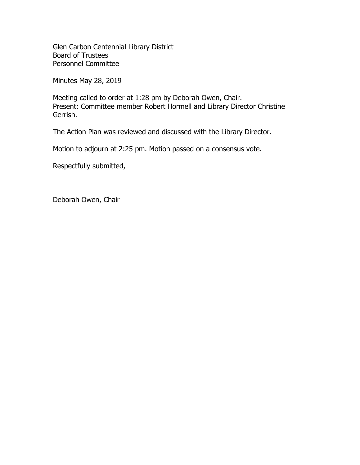Glen Carbon Centennial Library District Board of Trustees Personnel Committee

Minutes May 28, 2019

Meeting called to order at 1:28 pm by Deborah Owen, Chair. Present: Committee member Robert Hormell and Library Director Christine Gerrish.

The Action Plan was reviewed and discussed with the Library Director.

Motion to adjourn at 2:25 pm. Motion passed on a consensus vote.

Respectfully submitted,

Deborah Owen, Chair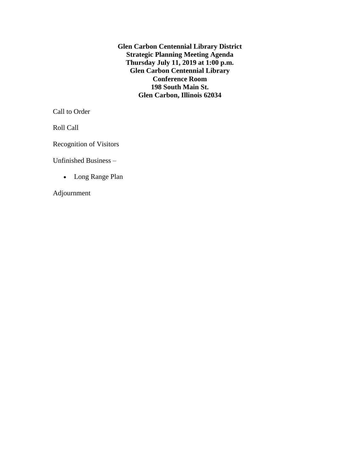**Glen Carbon Centennial Library District Strategic Planning Meeting Agenda Thursday July 11, 2019 at 1:00 p.m. Glen Carbon Centennial Library Conference Room 198 South Main St. Glen Carbon, Illinois 62034**

Call to Order

Roll Call

Recognition of Visitors

Unfinished Business –

• Long Range Plan

Adjournment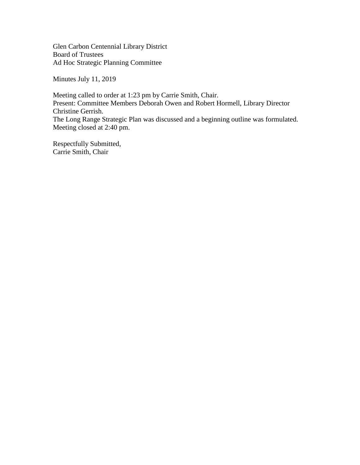Glen Carbon Centennial Library District Board of Trustees Ad Hoc Strategic Planning Committee

Minutes July 11, 2019

Meeting called to order at 1:23 pm by Carrie Smith, Chair. Present: Committee Members Deborah Owen and Robert Hormell, Library Director Christine Gerrish. The Long Range Strategic Plan was discussed and a beginning outline was formulated. Meeting closed at 2:40 pm.

Respectfully Submitted, Carrie Smith, Chair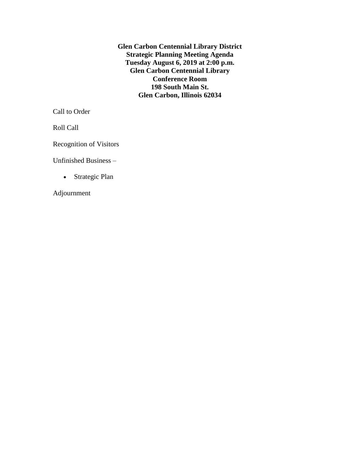**Glen Carbon Centennial Library District Strategic Planning Meeting Agenda Tuesday August 6, 2019 at 2:00 p.m. Glen Carbon Centennial Library Conference Room 198 South Main St. Glen Carbon, Illinois 62034**

Call to Order

Roll Call

Recognition of Visitors

Unfinished Business –

• Strategic Plan

Adjournment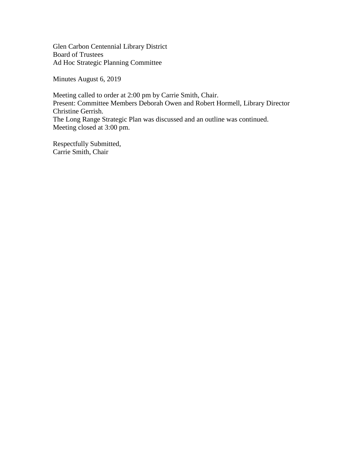Glen Carbon Centennial Library District Board of Trustees Ad Hoc Strategic Planning Committee

Minutes August 6, 2019

Meeting called to order at 2:00 pm by Carrie Smith, Chair. Present: Committee Members Deborah Owen and Robert Hormell, Library Director Christine Gerrish. The Long Range Strategic Plan was discussed and an outline was continued. Meeting closed at 3:00 pm.

Respectfully Submitted, Carrie Smith, Chair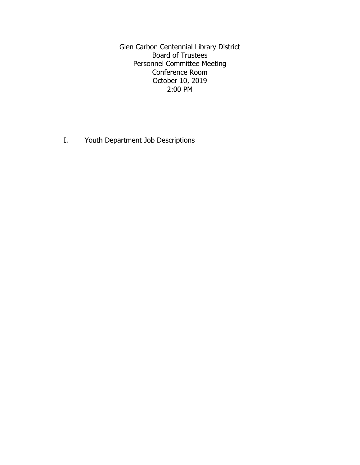Glen Carbon Centennial Library District Board of Trustees Personnel Committee Meeting Conference Room October 10, 2019 2:00 PM

I. Youth Department Job Descriptions